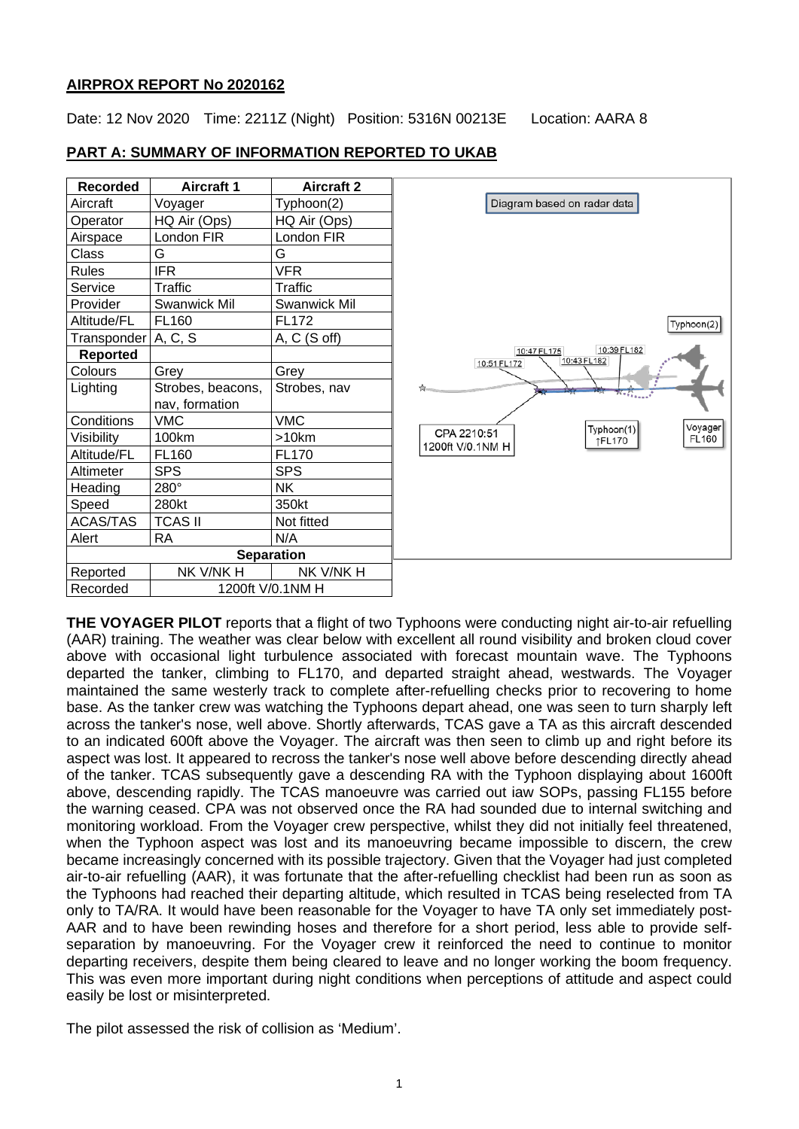### **AIRPROX REPORT No 2020162**

Date: 12 Nov 2020 Time: 2211Z (Night) Position: 5316N 00213E Location: AARA 8

|  | <b>PART A: SUMMARY OF INFORMATION REPORTED TO UKAB</b> |
|--|--------------------------------------------------------|
|  |                                                        |

| <b>Recorded</b>     | <b>Aircraft 1</b>   | <b>Aircraft 2</b>   |  |
|---------------------|---------------------|---------------------|--|
| Aircraft            | Voyager             | Typhoon(2)          |  |
| Operator            | HQ Air (Ops)        | HQ Air (Ops)        |  |
| Airspace            | London FIR          | London FIR          |  |
| Class               | G                   | G                   |  |
| <b>Rules</b>        | <b>IFR</b>          | <b>VFR</b>          |  |
| Service             | Traffic             | Traffic             |  |
| Provider            | <b>Swanwick Mil</b> | <b>Swanwick Mil</b> |  |
| Altitude/FL         | FL160               | <b>FL172</b>        |  |
| Transponder A, C, S |                     | $A, C$ (S off)      |  |
| <b>Reported</b>     |                     |                     |  |
| Colours             | Grey                | Grey                |  |
| Lighting            | Strobes, beacons,   | Strobes, nav        |  |
|                     | nav, formation      |                     |  |
| Conditions          | <b>VMC</b>          | <b>VMC</b>          |  |
| Visibility          | 100km               | >10km               |  |
| Altitude/FL         | FL160               | <b>FL170</b>        |  |
| Altimeter           | SPS                 | <b>SPS</b>          |  |
| Heading             | 280°                | <b>NK</b>           |  |
| Speed               | 280kt               | 350kt               |  |
| <b>ACAS/TAS</b>     | <b>TCAS II</b>      | Not fitted          |  |
| Alert               | RA                  | N/A                 |  |
| <b>Separation</b>   |                     |                     |  |
| Reported            | nk v/nk h           | NK V/NK H           |  |
| Recorded            | 1200ft V/0.1NM H    |                     |  |



**THE VOYAGER PILOT** reports that a flight of two Typhoons were conducting night air-to-air refuelling (AAR) training. The weather was clear below with excellent all round visibility and broken cloud cover above with occasional light turbulence associated with forecast mountain wave. The Typhoons departed the tanker, climbing to FL170, and departed straight ahead, westwards. The Voyager maintained the same westerly track to complete after-refuelling checks prior to recovering to home base. As the tanker crew was watching the Typhoons depart ahead, one was seen to turn sharply left across the tanker's nose, well above. Shortly afterwards, TCAS gave a TA as this aircraft descended to an indicated 600ft above the Voyager. The aircraft was then seen to climb up and right before its aspect was lost. It appeared to recross the tanker's nose well above before descending directly ahead of the tanker. TCAS subsequently gave a descending RA with the Typhoon displaying about 1600ft above, descending rapidly. The TCAS manoeuvre was carried out iaw SOPs, passing FL155 before the warning ceased. CPA was not observed once the RA had sounded due to internal switching and monitoring workload. From the Voyager crew perspective, whilst they did not initially feel threatened, when the Typhoon aspect was lost and its manoeuvring became impossible to discern, the crew became increasingly concerned with its possible trajectory. Given that the Voyager had just completed air-to-air refuelling (AAR), it was fortunate that the after-refuelling checklist had been run as soon as the Typhoons had reached their departing altitude, which resulted in TCAS being reselected from TA only to TA/RA. It would have been reasonable for the Voyager to have TA only set immediately post-AAR and to have been rewinding hoses and therefore for a short period, less able to provide selfseparation by manoeuvring. For the Voyager crew it reinforced the need to continue to monitor departing receivers, despite them being cleared to leave and no longer working the boom frequency. This was even more important during night conditions when perceptions of attitude and aspect could easily be lost or misinterpreted.

The pilot assessed the risk of collision as 'Medium'.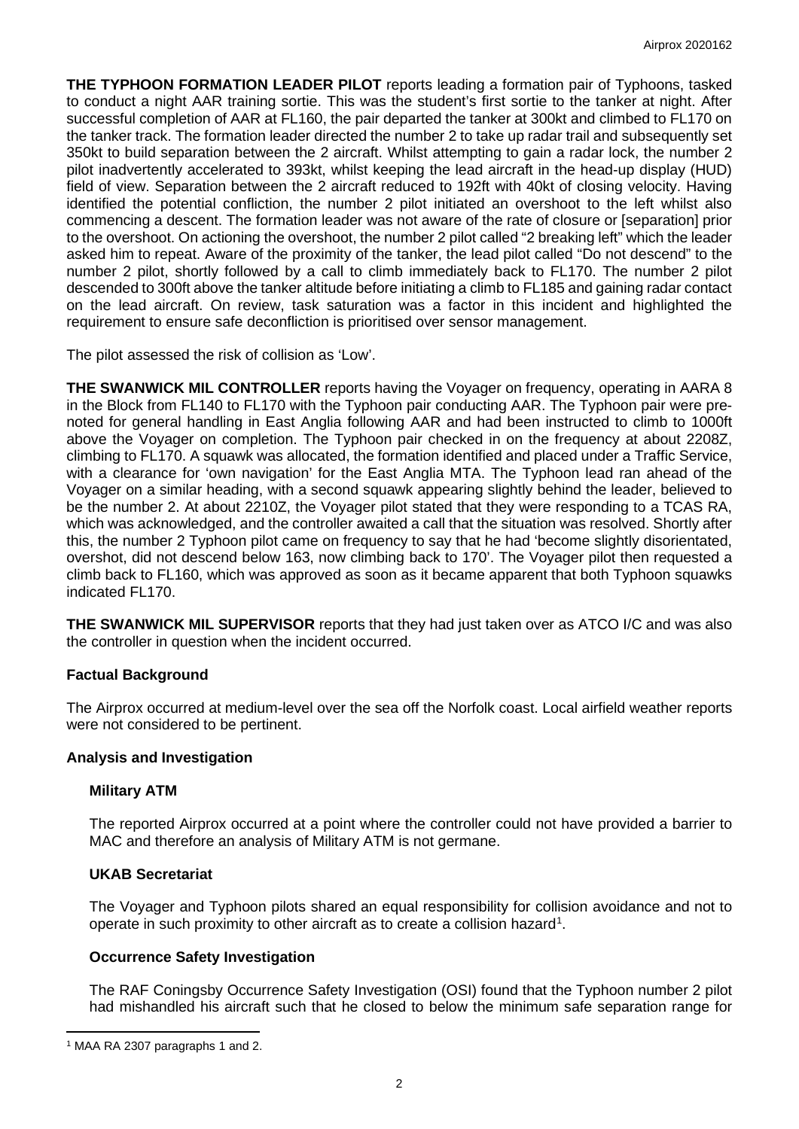**THE TYPHOON FORMATION LEADER PILOT** reports leading a formation pair of Typhoons, tasked to conduct a night AAR training sortie. This was the student's first sortie to the tanker at night. After successful completion of AAR at FL160, the pair departed the tanker at 300kt and climbed to FL170 on the tanker track. The formation leader directed the number 2 to take up radar trail and subsequently set 350kt to build separation between the 2 aircraft. Whilst attempting to gain a radar lock, the number 2 pilot inadvertently accelerated to 393kt, whilst keeping the lead aircraft in the head-up display (HUD) field of view. Separation between the 2 aircraft reduced to 192ft with 40kt of closing velocity. Having identified the potential confliction, the number 2 pilot initiated an overshoot to the left whilst also commencing a descent. The formation leader was not aware of the rate of closure or [separation] prior to the overshoot. On actioning the overshoot, the number 2 pilot called "2 breaking left" which the leader asked him to repeat. Aware of the proximity of the tanker, the lead pilot called "Do not descend" to the number 2 pilot, shortly followed by a call to climb immediately back to FL170. The number 2 pilot descended to 300ft above the tanker altitude before initiating a climb to FL185 and gaining radar contact on the lead aircraft. On review, task saturation was a factor in this incident and highlighted the requirement to ensure safe deconfliction is prioritised over sensor management.

The pilot assessed the risk of collision as 'Low'.

**THE SWANWICK MIL CONTROLLER** reports having the Voyager on frequency, operating in AARA 8 in the Block from FL140 to FL170 with the Typhoon pair conducting AAR. The Typhoon pair were prenoted for general handling in East Anglia following AAR and had been instructed to climb to 1000ft above the Voyager on completion. The Typhoon pair checked in on the frequency at about 2208Z, climbing to FL170. A squawk was allocated, the formation identified and placed under a Traffic Service, with a clearance for 'own navigation' for the East Anglia MTA. The Typhoon lead ran ahead of the Voyager on a similar heading, with a second squawk appearing slightly behind the leader, believed to be the number 2. At about 2210Z, the Voyager pilot stated that they were responding to a TCAS RA, which was acknowledged, and the controller awaited a call that the situation was resolved. Shortly after this, the number 2 Typhoon pilot came on frequency to say that he had 'become slightly disorientated, overshot, did not descend below 163, now climbing back to 170'. The Voyager pilot then requested a climb back to FL160, which was approved as soon as it became apparent that both Typhoon squawks indicated FL170.

**THE SWANWICK MIL SUPERVISOR** reports that they had just taken over as ATCO I/C and was also the controller in question when the incident occurred.

# **Factual Background**

The Airprox occurred at medium-level over the sea off the Norfolk coast. Local airfield weather reports were not considered to be pertinent.

#### **Analysis and Investigation**

#### **Military ATM**

The reported Airprox occurred at a point where the controller could not have provided a barrier to MAC and therefore an analysis of Military ATM is not germane.

# **UKAB Secretariat**

The Voyager and Typhoon pilots shared an equal responsibility for collision avoidance and not to operate in such proximity to other aircraft as to create a collision hazard<sup>[1](#page-1-0)</sup>.

# **Occurrence Safety Investigation**

The RAF Coningsby Occurrence Safety Investigation (OSI) found that the Typhoon number 2 pilot had mishandled his aircraft such that he closed to below the minimum safe separation range for

<span id="page-1-0"></span><sup>1</sup> MAA RA 2307 paragraphs 1 and 2.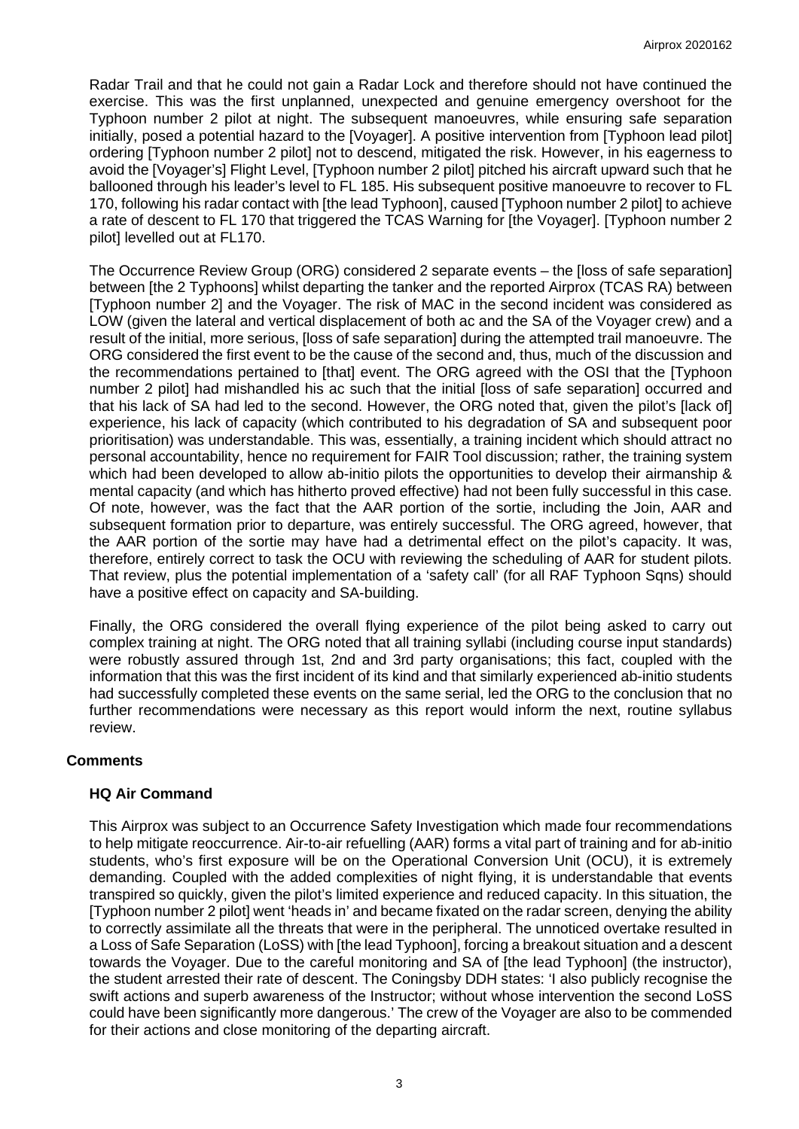Radar Trail and that he could not gain a Radar Lock and therefore should not have continued the exercise. This was the first unplanned, unexpected and genuine emergency overshoot for the Typhoon number 2 pilot at night. The subsequent manoeuvres, while ensuring safe separation initially, posed a potential hazard to the [Voyager]. A positive intervention from [Typhoon lead pilot] ordering [Typhoon number 2 pilot] not to descend, mitigated the risk. However, in his eagerness to avoid the [Voyager's] Flight Level, [Typhoon number 2 pilot] pitched his aircraft upward such that he ballooned through his leader's level to FL 185. His subsequent positive manoeuvre to recover to FL 170, following his radar contact with [the lead Typhoon], caused [Typhoon number 2 pilot] to achieve a rate of descent to FL 170 that triggered the TCAS Warning for [the Voyager]. [Typhoon number 2 pilot] levelled out at FL170.

The Occurrence Review Group (ORG) considered 2 separate events – the [loss of safe separation] between [the 2 Typhoons] whilst departing the tanker and the reported Airprox (TCAS RA) between [Typhoon number 2] and the Voyager. The risk of MAC in the second incident was considered as LOW (given the lateral and vertical displacement of both ac and the SA of the Voyager crew) and a result of the initial, more serious, [loss of safe separation] during the attempted trail manoeuvre. The ORG considered the first event to be the cause of the second and, thus, much of the discussion and the recommendations pertained to [that] event. The ORG agreed with the OSI that the [Typhoon number 2 pilot] had mishandled his ac such that the initial [loss of safe separation] occurred and that his lack of SA had led to the second. However, the ORG noted that, given the pilot's llack ofl experience, his lack of capacity (which contributed to his degradation of SA and subsequent poor prioritisation) was understandable. This was, essentially, a training incident which should attract no personal accountability, hence no requirement for FAIR Tool discussion; rather, the training system which had been developed to allow ab-initio pilots the opportunities to develop their airmanship & mental capacity (and which has hitherto proved effective) had not been fully successful in this case. Of note, however, was the fact that the AAR portion of the sortie, including the Join, AAR and subsequent formation prior to departure, was entirely successful. The ORG agreed, however, that the AAR portion of the sortie may have had a detrimental effect on the pilot's capacity. It was, therefore, entirely correct to task the OCU with reviewing the scheduling of AAR for student pilots. That review, plus the potential implementation of a 'safety call' (for all RAF Typhoon Sqns) should have a positive effect on capacity and SA-building.

Finally, the ORG considered the overall flying experience of the pilot being asked to carry out complex training at night. The ORG noted that all training syllabi (including course input standards) were robustly assured through 1st, 2nd and 3rd party organisations; this fact, coupled with the information that this was the first incident of its kind and that similarly experienced ab-initio students had successfully completed these events on the same serial, led the ORG to the conclusion that no further recommendations were necessary as this report would inform the next, routine syllabus review.

# **Comments**

# **HQ Air Command**

This Airprox was subject to an Occurrence Safety Investigation which made four recommendations to help mitigate reoccurrence. Air-to-air refuelling (AAR) forms a vital part of training and for ab-initio students, who's first exposure will be on the Operational Conversion Unit (OCU), it is extremely demanding. Coupled with the added complexities of night flying, it is understandable that events transpired so quickly, given the pilot's limited experience and reduced capacity. In this situation, the [Typhoon number 2 pilot] went 'heads in' and became fixated on the radar screen, denying the ability to correctly assimilate all the threats that were in the peripheral. The unnoticed overtake resulted in a Loss of Safe Separation (LoSS) with [the lead Typhoon], forcing a breakout situation and a descent towards the Voyager. Due to the careful monitoring and SA of [the lead Typhoon] (the instructor), the student arrested their rate of descent. The Coningsby DDH states: 'I also publicly recognise the swift actions and superb awareness of the Instructor; without whose intervention the second LoSS could have been significantly more dangerous.' The crew of the Voyager are also to be commended for their actions and close monitoring of the departing aircraft.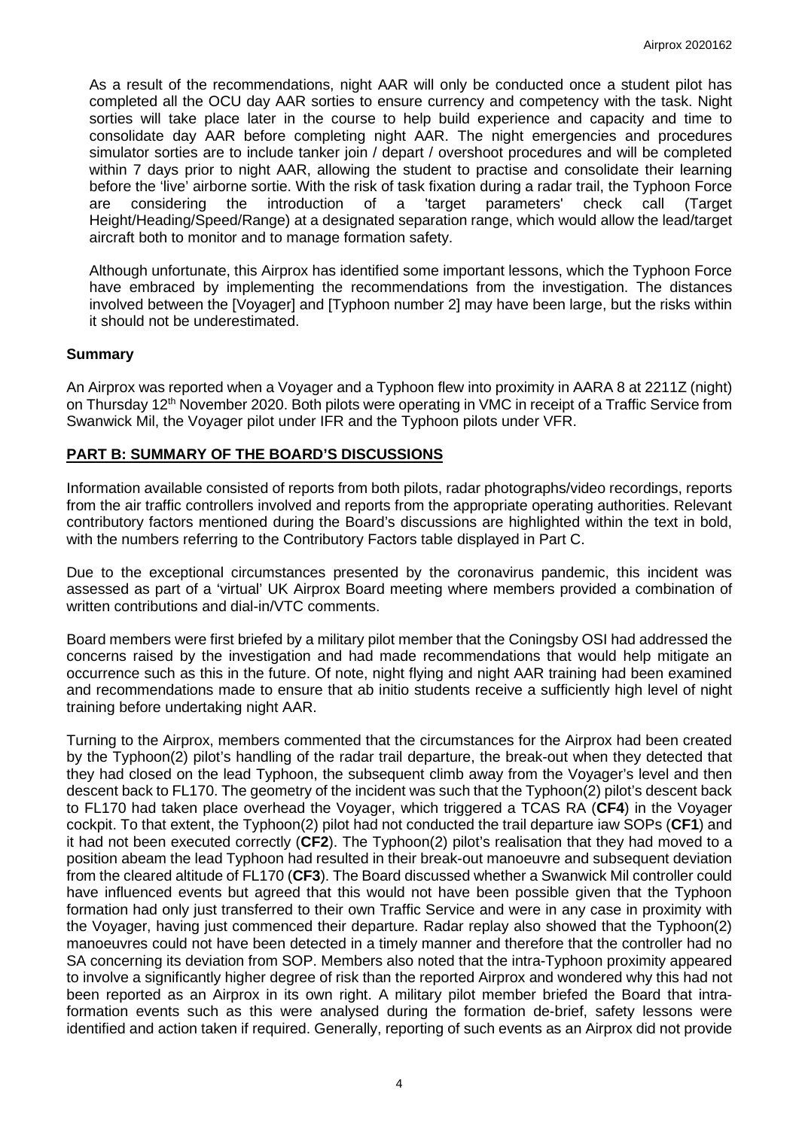As a result of the recommendations, night AAR will only be conducted once a student pilot has completed all the OCU day AAR sorties to ensure currency and competency with the task. Night sorties will take place later in the course to help build experience and capacity and time to consolidate day AAR before completing night AAR. The night emergencies and procedures simulator sorties are to include tanker join / depart / overshoot procedures and will be completed within 7 days prior to night AAR, allowing the student to practise and consolidate their learning before the 'live' airborne sortie. With the risk of task fixation during a radar trail, the Typhoon Force are considering the introduction of a 'target parameters' check call (Target Height/Heading/Speed/Range) at a designated separation range, which would allow the lead/target aircraft both to monitor and to manage formation safety.

Although unfortunate, this Airprox has identified some important lessons, which the Typhoon Force have embraced by implementing the recommendations from the investigation. The distances involved between the [Voyager] and [Typhoon number 2] may have been large, but the risks within it should not be underestimated.

### **Summary**

An Airprox was reported when a Voyager and a Typhoon flew into proximity in AARA 8 at 2211Z (night) on Thursday 12<sup>th</sup> November 2020. Both pilots were operating in VMC in receipt of a Traffic Service from Swanwick Mil, the Voyager pilot under IFR and the Typhoon pilots under VFR.

### **PART B: SUMMARY OF THE BOARD'S DISCUSSIONS**

Information available consisted of reports from both pilots, radar photographs/video recordings, reports from the air traffic controllers involved and reports from the appropriate operating authorities. Relevant contributory factors mentioned during the Board's discussions are highlighted within the text in bold, with the numbers referring to the Contributory Factors table displayed in Part C.

Due to the exceptional circumstances presented by the coronavirus pandemic, this incident was assessed as part of a 'virtual' UK Airprox Board meeting where members provided a combination of written contributions and dial-in/VTC comments.

Board members were first briefed by a military pilot member that the Coningsby OSI had addressed the concerns raised by the investigation and had made recommendations that would help mitigate an occurrence such as this in the future. Of note, night flying and night AAR training had been examined and recommendations made to ensure that ab initio students receive a sufficiently high level of night training before undertaking night AAR.

Turning to the Airprox, members commented that the circumstances for the Airprox had been created by the Typhoon(2) pilot's handling of the radar trail departure, the break-out when they detected that they had closed on the lead Typhoon, the subsequent climb away from the Voyager's level and then descent back to FL170. The geometry of the incident was such that the Typhoon(2) pilot's descent back to FL170 had taken place overhead the Voyager, which triggered a TCAS RA (**CF4**) in the Voyager cockpit. To that extent, the Typhoon(2) pilot had not conducted the trail departure iaw SOPs (**CF1**) and it had not been executed correctly (**CF2**). The Typhoon(2) pilot's realisation that they had moved to a position abeam the lead Typhoon had resulted in their break-out manoeuvre and subsequent deviation from the cleared altitude of FL170 (**CF3**). The Board discussed whether a Swanwick Mil controller could have influenced events but agreed that this would not have been possible given that the Typhoon formation had only just transferred to their own Traffic Service and were in any case in proximity with the Voyager, having just commenced their departure. Radar replay also showed that the Typhoon(2) manoeuvres could not have been detected in a timely manner and therefore that the controller had no SA concerning its deviation from SOP. Members also noted that the intra-Typhoon proximity appeared to involve a significantly higher degree of risk than the reported Airprox and wondered why this had not been reported as an Airprox in its own right. A military pilot member briefed the Board that intraformation events such as this were analysed during the formation de-brief, safety lessons were identified and action taken if required. Generally, reporting of such events as an Airprox did not provide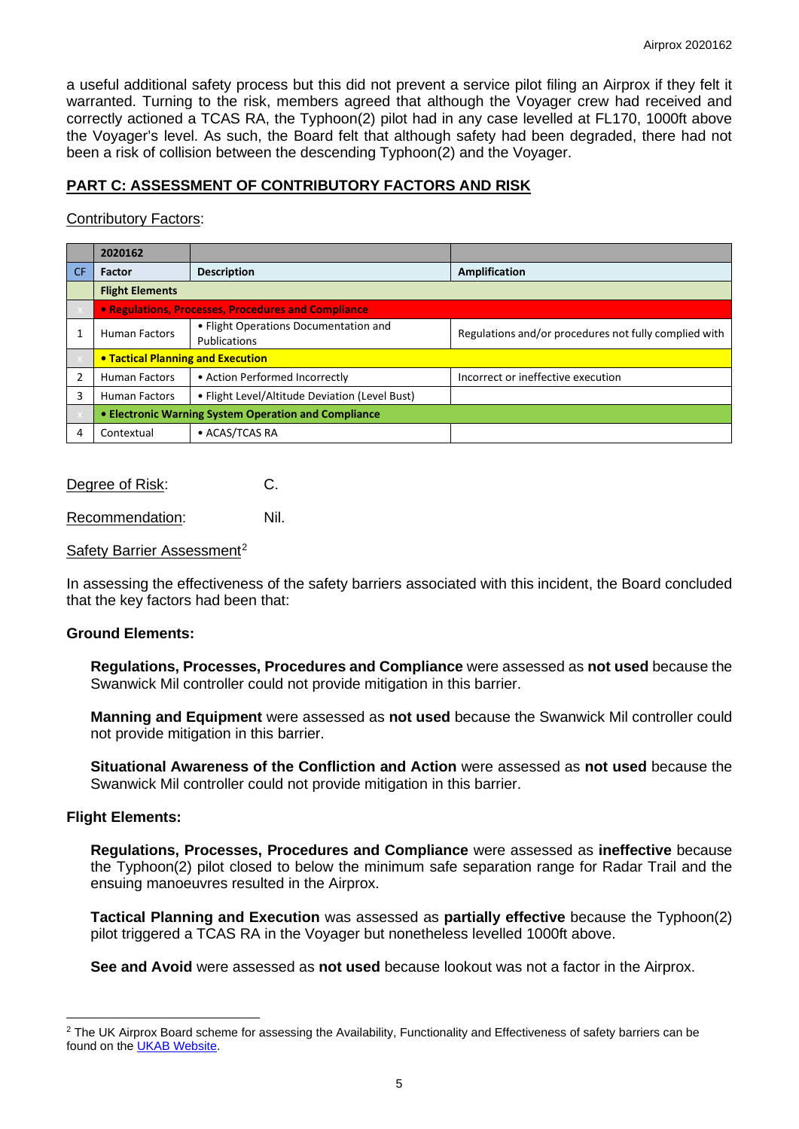a useful additional safety process but this did not prevent a service pilot filing an Airprox if they felt it warranted. Turning to the risk, members agreed that although the Voyager crew had received and correctly actioned a TCAS RA, the Typhoon(2) pilot had in any case levelled at FL170, 1000ft above the Voyager's level. As such, the Board felt that although safety had been degraded, there had not been a risk of collision between the descending Typhoon(2) and the Voyager.

# **PART C: ASSESSMENT OF CONTRIBUTORY FACTORS AND RISK**

## Contributory Factors:

|           | 2020162                                              |                                                       |                                                       |  |  |
|-----------|------------------------------------------------------|-------------------------------------------------------|-------------------------------------------------------|--|--|
| <b>CF</b> | <b>Factor</b>                                        | <b>Description</b>                                    | Amplification                                         |  |  |
|           | <b>Flight Elements</b>                               |                                                       |                                                       |  |  |
|           | • Regulations, Processes, Procedures and Compliance  |                                                       |                                                       |  |  |
|           | <b>Human Factors</b>                                 | • Flight Operations Documentation and<br>Publications | Regulations and/or procedures not fully complied with |  |  |
|           | <b>• Tactical Planning and Execution</b>             |                                                       |                                                       |  |  |
|           | <b>Human Factors</b>                                 | • Action Performed Incorrectly                        | Incorrect or ineffective execution                    |  |  |
| 3         | <b>Human Factors</b>                                 | • Flight Level/Altitude Deviation (Level Bust)        |                                                       |  |  |
|           | • Electronic Warning System Operation and Compliance |                                                       |                                                       |  |  |
| 4         | Contextual                                           | • ACAS/TCAS RA                                        |                                                       |  |  |

Degree of Risk: C.

Recommendation: Nil.

#### Safety Barrier Assessment<sup>[2](#page-4-0)</sup>

In assessing the effectiveness of the safety barriers associated with this incident, the Board concluded that the key factors had been that:

#### **Ground Elements:**

**Regulations, Processes, Procedures and Compliance** were assessed as **not used** because the Swanwick Mil controller could not provide mitigation in this barrier.

**Manning and Equipment** were assessed as **not used** because the Swanwick Mil controller could not provide mitigation in this barrier.

**Situational Awareness of the Confliction and Action** were assessed as **not used** because the Swanwick Mil controller could not provide mitigation in this barrier.

#### **Flight Elements:**

**Regulations, Processes, Procedures and Compliance** were assessed as **ineffective** because the Typhoon(2) pilot closed to below the minimum safe separation range for Radar Trail and the ensuing manoeuvres resulted in the Airprox.

**Tactical Planning and Execution** was assessed as **partially effective** because the Typhoon(2) pilot triggered a TCAS RA in the Voyager but nonetheless levelled 1000ft above.

**See and Avoid** were assessed as **not used** because lookout was not a factor in the Airprox.

<span id="page-4-0"></span> $2$  The UK Airprox Board scheme for assessing the Availability, Functionality and Effectiveness of safety barriers can be found on the [UKAB Website.](http://www.airproxboard.org.uk/Learn-more/Airprox-Barrier-Assessment/)